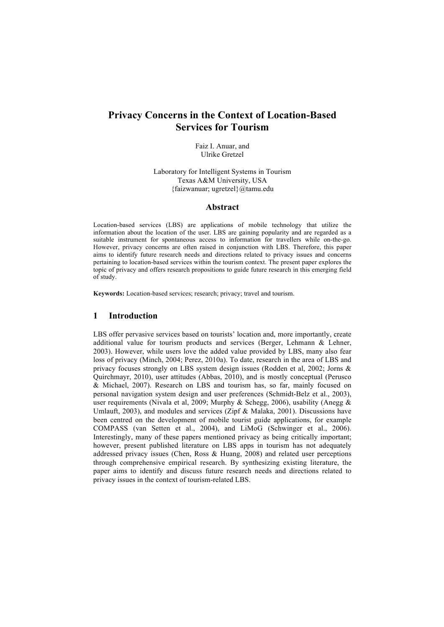# **Privacy Concerns in the Context of Location-Based Services for Tourism**

Faiz I. Anuar, and Ulrike Gretzel

Laboratory for Intelligent Systems in Tourism Texas A&M University, USA {faizwanuar; ugretzel}@tamu.edu

#### **Abstract**

Location-based services (LBS) are applications of mobile technology that utilize the information about the location of the user. LBS are gaining popularity and are regarded as a suitable instrument for spontaneous access to information for travellers while on-the-go. However, privacy concerns are often raised in conjunction with LBS. Therefore, this paper aims to identify future research needs and directions related to privacy issues and concerns pertaining to location-based services within the tourism context. The present paper explores the topic of privacy and offers research propositions to guide future research in this emerging field of study.

**Keywords:** Location-based services; research; privacy; travel and tourism.

### **1 Introduction**

LBS offer pervasive services based on tourists' location and, more importantly, create additional value for tourism products and services (Berger, Lehmann & Lehner, 2003). However, while users love the added value provided by LBS, many also fear loss of privacy (Minch, 2004; Perez, 2010a). To date, research in the area of LBS and privacy focuses strongly on LBS system design issues (Rodden et al, 2002; Jorns & Quirchmayr, 2010), user attitudes (Abbas, 2010), and is mostly conceptual (Perusco & Michael, 2007). Research on LBS and tourism has, so far, mainly focused on personal navigation system design and user preferences (Schmidt-Belz et al., 2003), user requirements (Nivala et al, 2009; Murphy & Schegg, 2006), usability (Anegg & Umlauft, 2003), and modules and services (Zipf & Malaka, 2001). Discussions have been centred on the development of mobile tourist guide applications, for example COMPASS (van Setten et al., 2004), and LiMoG (Schwinger et al., 2006). Interestingly, many of these papers mentioned privacy as being critically important; however, present published literature on LBS apps in tourism has not adequately addressed privacy issues (Chen, Ross & Huang, 2008) and related user perceptions through comprehensive empirical research. By synthesizing existing literature, the paper aims to identify and discuss future research needs and directions related to privacy issues in the context of tourism-related LBS.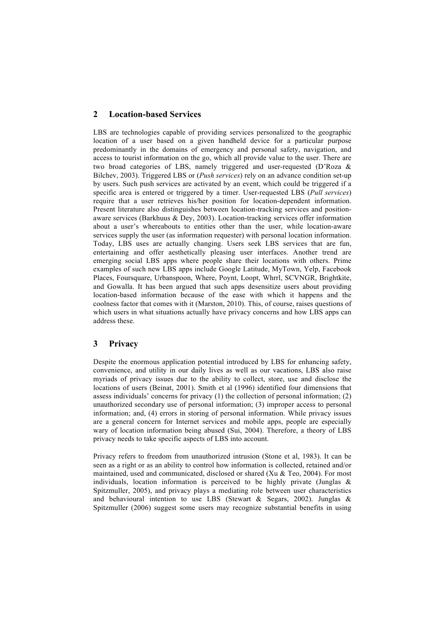## **2 Location-based Services**

LBS are technologies capable of providing services personalized to the geographic location of a user based on a given handheld device for a particular purpose predominantly in the domains of emergency and personal safety, navigation, and access to tourist information on the go, which all provide value to the user. There are two broad categories of LBS, namely triggered and user-requested (D'Roza & Bilchev, 2003). Triggered LBS or (*Push services*) rely on an advance condition set-up by users. Such push services are activated by an event, which could be triggered if a specific area is entered or triggered by a timer. User-requested LBS (*Pull services*) require that a user retrieves his/her position for location-dependent information. Present literature also distinguishes between location-tracking services and positionaware services (Barkhuus & Dey, 2003). Location-tracking services offer information about a user's whereabouts to entities other than the user, while location-aware services supply the user (as information requester) with personal location information. Today, LBS uses are actually changing. Users seek LBS services that are fun, entertaining and offer aesthetically pleasing user interfaces. Another trend are emerging social LBS apps where people share their locations with others. Prime examples of such new LBS apps include Google Latitude, MyTown, Yelp, Facebook Places, Foursquare, Urbanspoon, Where, Poynt, Loopt, Whrrl, SCVNGR, Brightkite, and Gowalla. It has been argued that such apps desensitize users about providing location-based information because of the ease with which it happens and the coolness factor that comes with it (Marston, 2010). This, of course, raises questions of which users in what situations actually have privacy concerns and how LBS apps can address these.

## **3 Privacy**

Despite the enormous application potential introduced by LBS for enhancing safety, convenience, and utility in our daily lives as well as our vacations, LBS also raise myriads of privacy issues due to the ability to collect, store, use and disclose the locations of users (Beinat, 2001). Smith et al (1996) identified four dimensions that assess individuals' concerns for privacy (1) the collection of personal information; (2) unauthorized secondary use of personal information; (3) improper access to personal information; and, (4) errors in storing of personal information. While privacy issues are a general concern for Internet services and mobile apps, people are especially wary of location information being abused (Sui, 2004). Therefore, a theory of LBS privacy needs to take specific aspects of LBS into account.

Privacy refers to freedom from unauthorized intrusion (Stone et al, 1983). It can be seen as a right or as an ability to control how information is collected, retained and/or maintained, used and communicated, disclosed or shared (Xu  $\&$  Teo, 2004). For most individuals, location information is perceived to be highly private (Junglas & Spitzmuller, 2005), and privacy plays a mediating role between user characteristics and behavioural intention to use LBS (Stewart & Segars, 2002). Junglas  $\&$ Spitzmuller (2006) suggest some users may recognize substantial benefits in using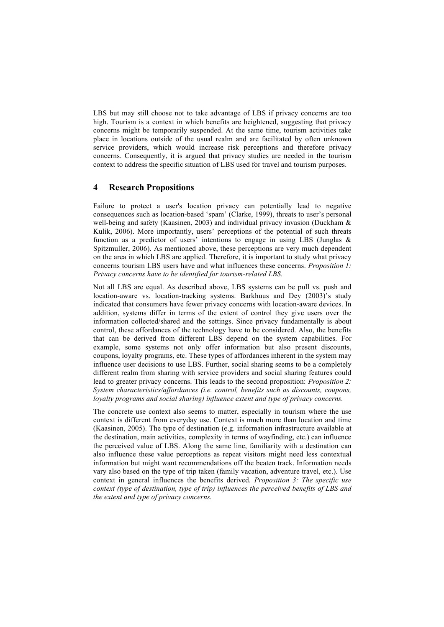LBS but may still choose not to take advantage of LBS if privacy concerns are too high. Tourism is a context in which benefits are heightened, suggesting that privacy concerns might be temporarily suspended. At the same time, tourism activities take place in locations outside of the usual realm and are facilitated by often unknown service providers, which would increase risk perceptions and therefore privacy concerns. Consequently, it is argued that privacy studies are needed in the tourism context to address the specific situation of LBS used for travel and tourism purposes.

#### **4 Research Propositions**

Failure to protect a user's location privacy can potentially lead to negative consequences such as location-based 'spam' (Clarke, 1999), threats to user's personal well-being and safety (Kaasinen, 2003) and individual privacy invasion (Duckham & Kulik, 2006). More importantly, users' perceptions of the potential of such threats function as a predictor of users' intentions to engage in using LBS (Junglas & Spitzmuller, 2006). As mentioned above, these perceptions are very much dependent on the area in which LBS are applied. Therefore, it is important to study what privacy concerns tourism LBS users have and what influences these concerns. *Proposition 1: Privacy concerns have to be identified for tourism-related LBS.* 

Not all LBS are equal. As described above, LBS systems can be pull vs. push and location-aware vs. location-tracking systems. Barkhuus and Dey (2003)'s study indicated that consumers have fewer privacy concerns with location-aware devices. In addition, systems differ in terms of the extent of control they give users over the information collected/shared and the settings. Since privacy fundamentally is about control, these affordances of the technology have to be considered. Also, the benefits that can be derived from different LBS depend on the system capabilities. For example, some systems not only offer information but also present discounts, coupons, loyalty programs, etc. These types of affordances inherent in the system may influence user decisions to use LBS. Further, social sharing seems to be a completely different realm from sharing with service providers and social sharing features could lead to greater privacy concerns. This leads to the second proposition: *Proposition 2: System characteristics/affordances (i.e. control, benefits such as discounts, coupons, loyalty programs and social sharing) influence extent and type of privacy concerns.*

The concrete use context also seems to matter, especially in tourism where the use context is different from everyday use. Context is much more than location and time (Kaasinen, 2005). The type of destination (e.g. information infrastructure available at the destination, main activities, complexity in terms of wayfinding, etc.) can influence the perceived value of LBS. Along the same line, familiarity with a destination can also influence these value perceptions as repeat visitors might need less contextual information but might want recommendations off the beaten track. Information needs vary also based on the type of trip taken (family vacation, adventure travel, etc.). Use context in general influences the benefits derived. *Proposition 3: The specific use context (type of destination, type of trip) influences the perceived benefits of LBS and the extent and type of privacy concerns.*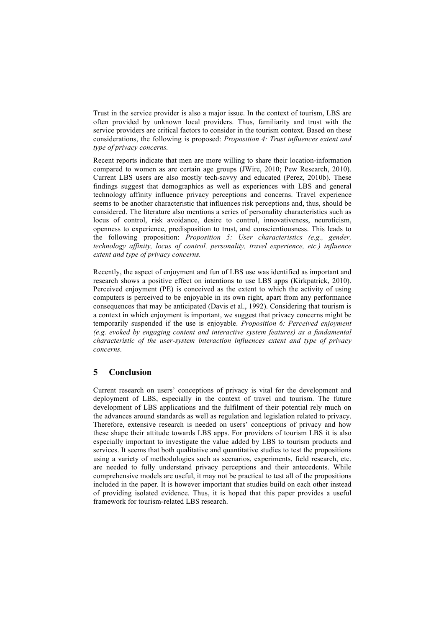Trust in the service provider is also a major issue. In the context of tourism, LBS are often provided by unknown local providers. Thus, familiarity and trust with the service providers are critical factors to consider in the tourism context. Based on these considerations, the following is proposed: *Proposition 4: Trust influences extent and type of privacy concerns.*

Recent reports indicate that men are more willing to share their location-information compared to women as are certain age groups (JWire, 2010; Pew Research, 2010). Current LBS users are also mostly tech-savvy and educated (Perez, 2010b). These findings suggest that demographics as well as experiences with LBS and general technology affinity influence privacy perceptions and concerns. Travel experience seems to be another characteristic that influences risk perceptions and, thus, should be considered. The literature also mentions a series of personality characteristics such as locus of control, risk avoidance, desire to control, innovativeness, neuroticism, openness to experience, predisposition to trust, and conscientiousness. This leads to the following proposition: *Proposition 5: User characteristics (e.g., gender, technology affinity, locus of control, personality, travel experience, etc.) influence extent and type of privacy concerns.* 

Recently, the aspect of enjoyment and fun of LBS use was identified as important and research shows a positive effect on intentions to use LBS apps (Kirkpatrick, 2010). Perceived enjoyment (PE) is conceived as the extent to which the activity of using computers is perceived to be enjoyable in its own right, apart from any performance consequences that may be anticipated (Davis et al., 1992). Considering that tourism is a context in which enjoyment is important, we suggest that privacy concerns might be temporarily suspended if the use is enjoyable. *Proposition 6: Perceived enjoyment (e.g. evoked by engaging content and interactive system features) as a fundamental characteristic of the user-system interaction influences extent and type of privacy concerns.* 

## **5 Conclusion**

Current research on users' conceptions of privacy is vital for the development and deployment of LBS, especially in the context of travel and tourism. The future development of LBS applications and the fulfilment of their potential rely much on the advances around standards as well as regulation and legislation related to privacy. Therefore, extensive research is needed on users' conceptions of privacy and how these shape their attitude towards LBS apps. For providers of tourism LBS it is also especially important to investigate the value added by LBS to tourism products and services. It seems that both qualitative and quantitative studies to test the propositions using a variety of methodologies such as scenarios, experiments, field research, etc. are needed to fully understand privacy perceptions and their antecedents. While comprehensive models are useful, it may not be practical to test all of the propositions included in the paper. It is however important that studies build on each other instead of providing isolated evidence. Thus, it is hoped that this paper provides a useful framework for tourism-related LBS research.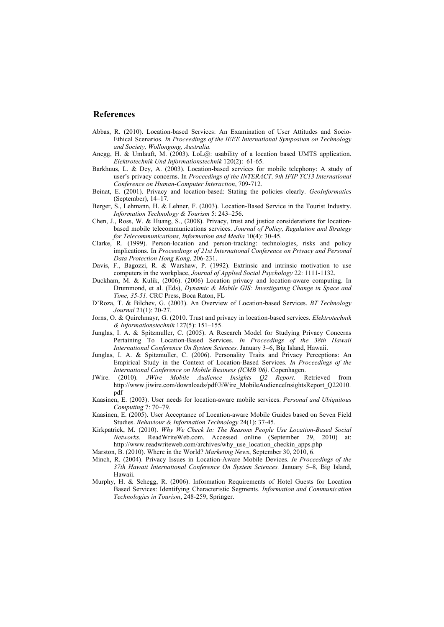#### **References**

- Abbas, R. (2010). Location-based Services: An Examination of User Attitudes and Socio-Ethical Scenarios. *In Proceedings of the IEEE International Symposium on Technology and Society, Wollongong, Australia.*
- Anegg, H. & Umlauft, M. (2003). LoL(a): usability of a location based UMTS application. *Elektrotechnik Und Informationstechnik* 120(2): 61-65.
- Barkhuus, L. & Dey, A. (2003). Location-based services for mobile telephony: A study of user's privacy concerns. In *Proceedings of the INTERACT, 9th IFIP TC13 International Conference on Human-Computer Interaction*, 709-712.
- Beinat, E. (2001). Privacy and location-based: Stating the policies clearly. *GeoInformatics* (September), 14–17.
- Berger, S., Lehmann, H. & Lehner, F. (2003). Location-Based Service in the Tourist Industry. *Information Technology & Tourism* 5: 243–256.
- Chen, J., Ross, W. & Huang, S., (2008). Privacy, trust and justice considerations for locationbased mobile telecommunications services. *Journal of Policy, Regulation and Strategy for Telecommunications, Information and Media* 10(4): 30-45.
- Clarke, R. (1999). Person-location and person-tracking: technologies, risks and policy implications. In *Proceedings of 21st International Conference on Privacy and Personal Data Protection Hong Kong,* 206-231.
- Davis, F., Bagozzi, R. & Warshaw, P. (1992). Extrinsic and intrinsic motivation to use computers in the workplace, *Journal of Applied Social Psychology* 22: 1111-1132.
- Duckham, M. & Kulik, (2006). (2006) Location privacy and location-aware computing. In Drummond, et al. (Eds), *Dynamic & Mobile GIS: Investigating Change in Space and Time, 35-51*. CRC Press, Boca Raton, FL
- D'Roza, T. & Bilchev, G. (2003). An Overview of Location-based Services. *BT Technology Journal* 21(1): 20-27.
- Jorns, O. & Quirchmayr, G. (2010. Trust and privacy in location-based services. *Elektrotechnik & Informationstechnik* 127(5): 151–155.
- Junglas, I. A. & Spitzmuller, C. (2005). A Research Model for Studying Privacy Concerns Pertaining To Location-Based Services. *In Proceedings of the 38th Hawaii International Conference On System Sciences.* January 3–6, Big Island, Hawaii.
- Junglas, I. A. & Spitzmuller, C. (2006). Personality Traits and Privacy Perceptions: An Empirical Study in the Context of Location-Based Services. *In Proceedings of the International Conference on Mobile Business (ICMB'06)*. Copenhagen.
- JWire. (2010). *JWire Mobile Audience Insights Q2 Report.* Retrieved from http://www.jiwire.com/downloads/pdf/JiWire\_MobileAudienceInsightsReport\_Q22010. pdf
- Kaasinen, E. (2003). User needs for location-aware mobile services. *Personal and Ubiquitous Computing* 7: 70–79.
- Kaasinen, E. (2005). User Acceptance of Location-aware Mobile Guides based on Seven Field Studies. *Behaviour & Information Technology* 24(1): 37-45.
- Kirkpatrick, M. (2010). *Why We Check In: The Reasons People Use Location-Based Social Networks.* ReadWriteWeb.com. Accessed online (September 29, 2010) at: http://www.readwriteweb.com/archives/why\_use\_location\_checkin\_apps.php
- Marston, B. (2010). Where in the World? *Marketing News*, September 30, 2010, 6.
- Minch, R. (2004). Privacy Issues in Location-Aware Mobile Devices. *In Proceedings of the 37th Hawaii International Conference On System Sciences.* January 5–8, Big Island, Hawaii.
- Murphy, H. & Schegg, R. (2006). Information Requirements of Hotel Guests for Location Based Services: Identifying Characteristic Segments. *Information and Communication Technologies in Tourism*, 248-259, Springer.